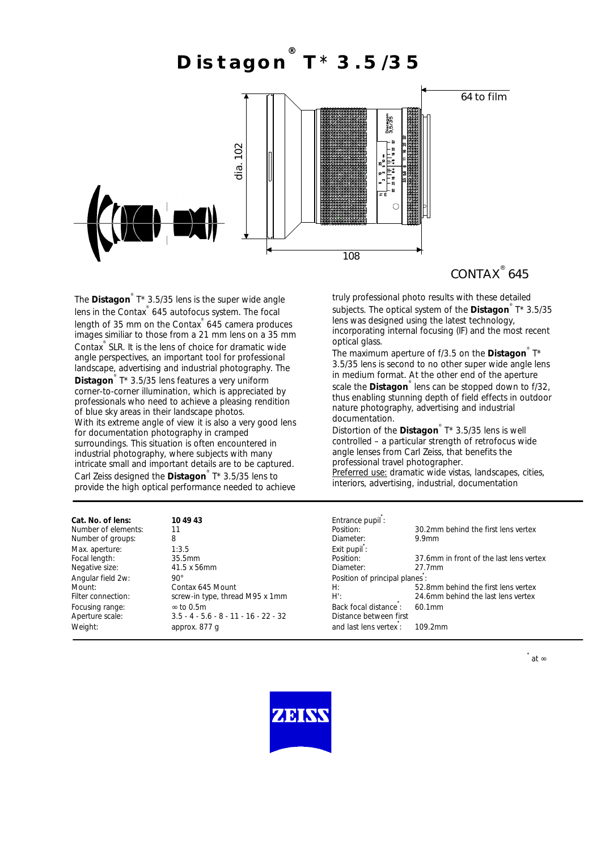### **Distagon ® T**\* **3.5/35**



## CONTAX<sup>®</sup> 645

The **Distagon**<sup>®</sup> T\* 3.5/35 lens is the super wide angle lens in the Contax ® 645 autofocus system. The focal length of 35 mm on the Contax<sup>®</sup> 645 camera produces images similiar to those from a 21 mm lens on a 35 mm Contax ® SLR. It is the lens of choice for dramatic wide angle perspectives, an important tool for professional landscape, advertising and industrial photography. The **Distagon** ® T\* 3.5/35 lens features a very uniform corner-to-corner illumination, which is appreciated by professionals who need to achieve a pleasing rendition of blue sky areas in their landscape photos. With its extreme angle of view it is also a very good lens for documentation photography in cramped surroundings. This situation is often encountered in industrial photography, where subjects with many intricate small and important details are to be captured. Carl Zeiss designed the **Distagon** ® T\* 3.5/35 lens to provide the high optical performance needed to achieve

truly professional photo results with these detailed subjects. The optical system of the **Distagon** ® T\* 3.5/35 lens was designed using the latest technology, incorporating internal focusing (IF) and the most recent optical glass.

The maximum aperture of f/3.5 on the **Distagon** T\* 3.5/35 lens is second to no other super wide angle lens in medium format. At the other end of the aperture

scale the **Distagon**<sup>®</sup> lens can be stopped down to f/32, thus enabling stunning depth of field effects in outdoor nature photography, advertising and industrial documentation.

Distortion of the **Distagon** ® T\* 3.5/35 lens is well controlled – a particular strength of retrofocus wide angle lenses from Carl Zeiss, that benefits the professional travel photographer.

Preferred use: dramatic wide vistas, landscapes, cities, interiors, advertising, industrial, documentation

| Cat. No. of lens:   | 10 49 43                                | Entrance pupil:                |                                         |
|---------------------|-----------------------------------------|--------------------------------|-----------------------------------------|
| Number of elements: |                                         | Position:                      | 30.2mm behind the first lens vertex     |
| Number of groups:   | 8                                       | Diameter:                      | 9.9 <sub>mm</sub>                       |
| Max. aperture:      | 1:3.5                                   | Exit pupil:                    |                                         |
| Focal length:       | 35.5mm                                  | Position:                      | 37.6mm in front of the last lens vertex |
| Negative size:      | $41.5 \times 56$ mm                     | Diameter:                      | 27.7mm                                  |
| Angular field 2w:   | $90^{\circ}$                            | Position of principal planes : |                                         |
| Mount:              | Contax 645 Mount                        | H:                             | 52.8mm behind the first lens vertex     |
| Filter connection:  | screw-in type, thread M95 x 1mm         | $H^{\prime}$ :                 | 24.6mm behind the last lens vertex      |
| Focusing range:     | $\infty$ to 0.5m                        | Back focal distance:           | $60.1$ mm                               |
| Aperture scale:     | $3.5 - 4 - 5.6 - 8 - 11 - 16 - 22 - 32$ | Distance between first         |                                         |
| Weight:             | approx. 877 g                           | and last lens vertex :         | 109.2mm                                 |

**\***